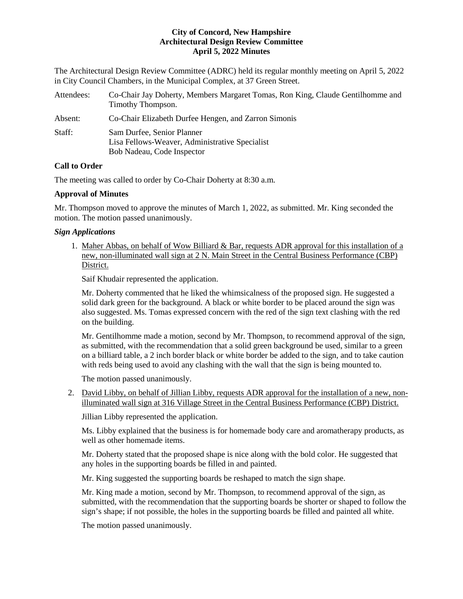The Architectural Design Review Committee (ADRC) held its regular monthly meeting on April 5, 2022 in City Council Chambers, in the Municipal Complex, at 37 Green Street.

| Attendees: | Co-Chair Jay Doherty, Members Margaret Tomas, Ron King, Claude Gentilhomme and<br>Timothy Thompson.        |
|------------|------------------------------------------------------------------------------------------------------------|
| Absent:    | Co-Chair Elizabeth Durfee Hengen, and Zarron Simonis                                                       |
| Staff:     | Sam Durfee, Senior Planner<br>Lisa Fellows-Weaver, Administrative Specialist<br>Bob Nadeau, Code Inspector |

# **Call to Order**

The meeting was called to order by Co-Chair Doherty at 8:30 a.m.

# **Approval of Minutes**

Mr. Thompson moved to approve the minutes of March 1, 2022, as submitted. Mr. King seconded the motion. The motion passed unanimously.

# *Sign Applications*

1. Maher Abbas, on behalf of Wow Billiard & Bar, requests ADR approval for this installation of a new, non-illuminated wall sign at 2 N. Main Street in the Central Business Performance (CBP) District.

Saif Khudair represented the application.

Mr. Doherty commented that he liked the whimsicalness of the proposed sign. He suggested a solid dark green for the background. A black or white border to be placed around the sign was also suggested. Ms. Tomas expressed concern with the red of the sign text clashing with the red on the building.

Mr. Gentilhomme made a motion, second by Mr. Thompson, to recommend approval of the sign, as submitted, with the recommendation that a solid green background be used, similar to a green on a billiard table, a 2 inch border black or white border be added to the sign, and to take caution with reds being used to avoid any clashing with the wall that the sign is being mounted to.

The motion passed unanimously.

2. David Libby, on behalf of Jillian Libby, requests ADR approval for the installation of a new, nonilluminated wall sign at 316 Village Street in the Central Business Performance (CBP) District.

Jillian Libby represented the application.

Ms. Libby explained that the business is for homemade body care and aromatherapy products, as well as other homemade items.

Mr. Doherty stated that the proposed shape is nice along with the bold color. He suggested that any holes in the supporting boards be filled in and painted.

Mr. King suggested the supporting boards be reshaped to match the sign shape.

Mr. King made a motion, second by Mr. Thompson, to recommend approval of the sign, as submitted, with the recommendation that the supporting boards be shorter or shaped to follow the sign's shape; if not possible, the holes in the supporting boards be filled and painted all white.

The motion passed unanimously.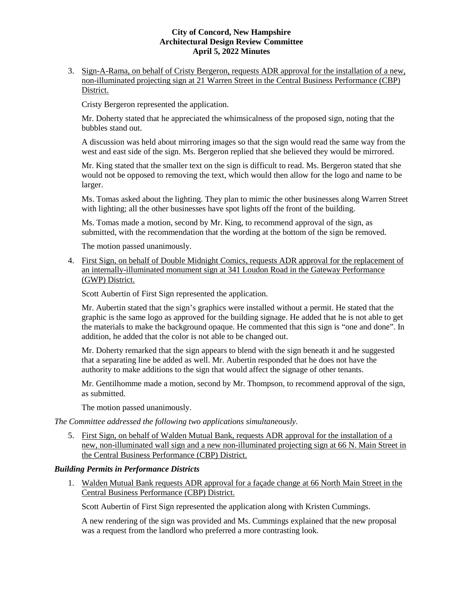3. Sign-A-Rama, on behalf of Cristy Bergeron, requests ADR approval for the installation of a new, non-illuminated projecting sign at 21 Warren Street in the Central Business Performance (CBP) District.

Cristy Bergeron represented the application.

Mr. Doherty stated that he appreciated the whimsicalness of the proposed sign, noting that the bubbles stand out.

A discussion was held about mirroring images so that the sign would read the same way from the west and east side of the sign. Ms. Bergeron replied that she believed they would be mirrored.

Mr. King stated that the smaller text on the sign is difficult to read. Ms. Bergeron stated that she would not be opposed to removing the text, which would then allow for the logo and name to be larger.

Ms. Tomas asked about the lighting. They plan to mimic the other businesses along Warren Street with lighting; all the other businesses have spot lights off the front of the building.

Ms. Tomas made a motion, second by Mr. King, to recommend approval of the sign, as submitted, with the recommendation that the wording at the bottom of the sign be removed.

The motion passed unanimously.

4. First Sign, on behalf of Double Midnight Comics, requests ADR approval for the replacement of an internally-illuminated monument sign at 341 Loudon Road in the Gateway Performance (GWP) District.

Scott Aubertin of First Sign represented the application.

Mr. Aubertin stated that the sign's graphics were installed without a permit. He stated that the graphic is the same logo as approved for the building signage. He added that he is not able to get the materials to make the background opaque. He commented that this sign is "one and done". In addition, he added that the color is not able to be changed out.

Mr. Doherty remarked that the sign appears to blend with the sign beneath it and he suggested that a separating line be added as well. Mr. Aubertin responded that he does not have the authority to make additions to the sign that would affect the signage of other tenants.

Mr. Gentilhomme made a motion, second by Mr. Thompson, to recommend approval of the sign, as submitted.

The motion passed unanimously.

*The Committee addressed the following two applications simultaneously.*

5. First Sign, on behalf of Walden Mutual Bank, requests ADR approval for the installation of a new, non-illuminated wall sign and a new non-illuminated projecting sign at 66 N. Main Street in the Central Business Performance (CBP) District.

## *Building Permits in Performance Districts*

1. Walden Mutual Bank requests ADR approval for a façade change at 66 North Main Street in the Central Business Performance (CBP) District.

Scott Aubertin of First Sign represented the application along with Kristen Cummings.

A new rendering of the sign was provided and Ms. Cummings explained that the new proposal was a request from the landlord who preferred a more contrasting look.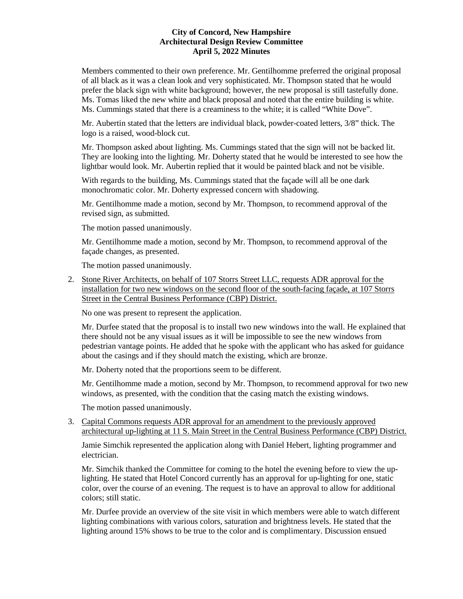Members commented to their own preference. Mr. Gentilhomme preferred the original proposal of all black as it was a clean look and very sophisticated. Mr. Thompson stated that he would prefer the black sign with white background; however, the new proposal is still tastefully done. Ms. Tomas liked the new white and black proposal and noted that the entire building is white. Ms. Cummings stated that there is a creaminess to the white; it is called "White Dove".

Mr. Aubertin stated that the letters are individual black, powder-coated letters, 3/8" thick. The logo is a raised, wood-block cut.

Mr. Thompson asked about lighting. Ms. Cummings stated that the sign will not be backed lit. They are looking into the lighting. Mr. Doherty stated that he would be interested to see how the lightbar would look. Mr. Aubertin replied that it would be painted black and not be visible.

With regards to the building, Ms. Cummings stated that the façade will all be one dark monochromatic color. Mr. Doherty expressed concern with shadowing.

Mr. Gentilhomme made a motion, second by Mr. Thompson, to recommend approval of the revised sign, as submitted.

The motion passed unanimously.

Mr. Gentilhomme made a motion, second by Mr. Thompson, to recommend approval of the façade changes, as presented.

The motion passed unanimously.

2. Stone River Architects, on behalf of 107 Storrs Street LLC, requests ADR approval for the installation for two new windows on the second floor of the south-facing façade, at 107 Storrs Street in the Central Business Performance (CBP) District.

No one was present to represent the application.

Mr. Durfee stated that the proposal is to install two new windows into the wall. He explained that there should not be any visual issues as it will be impossible to see the new windows from pedestrian vantage points. He added that he spoke with the applicant who has asked for guidance about the casings and if they should match the existing, which are bronze.

Mr. Doherty noted that the proportions seem to be different.

Mr. Gentilhomme made a motion, second by Mr. Thompson, to recommend approval for two new windows, as presented, with the condition that the casing match the existing windows.

The motion passed unanimously.

3. Capital Commons requests ADR approval for an amendment to the previously approved architectural up-lighting at 11 S. Main Street in the Central Business Performance (CBP) District.

Jamie Simchik represented the application along with Daniel Hebert, lighting programmer and electrician.

Mr. Simchik thanked the Committee for coming to the hotel the evening before to view the uplighting. He stated that Hotel Concord currently has an approval for up-lighting for one, static color, over the course of an evening. The request is to have an approval to allow for additional colors; still static.

Mr. Durfee provide an overview of the site visit in which members were able to watch different lighting combinations with various colors, saturation and brightness levels. He stated that the lighting around 15% shows to be true to the color and is complimentary. Discussion ensued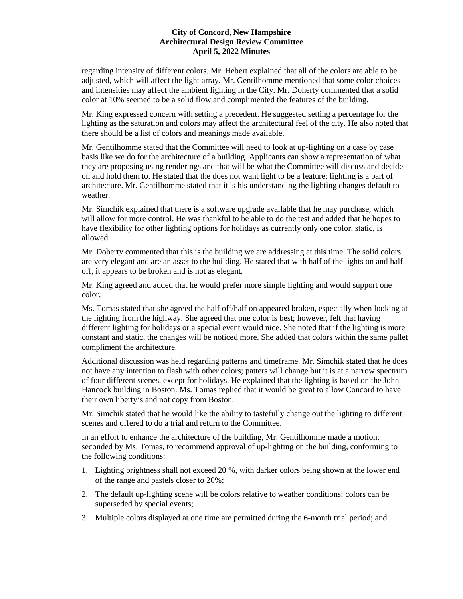regarding intensity of different colors. Mr. Hebert explained that all of the colors are able to be adjusted, which will affect the light array. Mr. Gentilhomme mentioned that some color choices and intensities may affect the ambient lighting in the City. Mr. Doherty commented that a solid color at 10% seemed to be a solid flow and complimented the features of the building.

Mr. King expressed concern with setting a precedent. He suggested setting a percentage for the lighting as the saturation and colors may affect the architectural feel of the city. He also noted that there should be a list of colors and meanings made available.

Mr. Gentilhomme stated that the Committee will need to look at up-lighting on a case by case basis like we do for the architecture of a building. Applicants can show a representation of what they are proposing using renderings and that will be what the Committee will discuss and decide on and hold them to. He stated that the does not want light to be a feature; lighting is a part of architecture. Mr. Gentilhomme stated that it is his understanding the lighting changes default to weather.

Mr. Simchik explained that there is a software upgrade available that he may purchase, which will allow for more control. He was thankful to be able to do the test and added that he hopes to have flexibility for other lighting options for holidays as currently only one color, static, is allowed.

Mr. Doherty commented that this is the building we are addressing at this time. The solid colors are very elegant and are an asset to the building. He stated that with half of the lights on and half off, it appears to be broken and is not as elegant.

Mr. King agreed and added that he would prefer more simple lighting and would support one color.

Ms. Tomas stated that she agreed the half off/half on appeared broken, especially when looking at the lighting from the highway. She agreed that one color is best; however, felt that having different lighting for holidays or a special event would nice. She noted that if the lighting is more constant and static, the changes will be noticed more. She added that colors within the same pallet compliment the architecture.

Additional discussion was held regarding patterns and timeframe. Mr. Simchik stated that he does not have any intention to flash with other colors; patters will change but it is at a narrow spectrum of four different scenes, except for holidays. He explained that the lighting is based on the John Hancock building in Boston. Ms. Tomas replied that it would be great to allow Concord to have their own liberty's and not copy from Boston.

Mr. Simchik stated that he would like the ability to tastefully change out the lighting to different scenes and offered to do a trial and return to the Committee.

In an effort to enhance the architecture of the building, Mr. Gentilhomme made a motion, seconded by Ms. Tomas, to recommend approval of up-lighting on the building, conforming to the following conditions:

- 1. Lighting brightness shall not exceed 20 %, with darker colors being shown at the lower end of the range and pastels closer to 20%;
- 2. The default up-lighting scene will be colors relative to weather conditions; colors can be superseded by special events;
- 3. Multiple colors displayed at one time are permitted during the 6-month trial period; and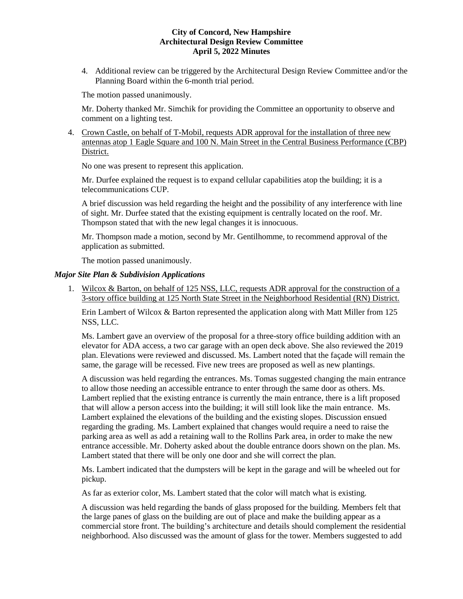4. Additional review can be triggered by the Architectural Design Review Committee and/or the Planning Board within the 6-month trial period.

The motion passed unanimously.

Mr. Doherty thanked Mr. Simchik for providing the Committee an opportunity to observe and comment on a lighting test.

4. Crown Castle, on behalf of T-Mobil, requests ADR approval for the installation of three new antennas atop 1 Eagle Square and 100 N. Main Street in the Central Business Performance (CBP) District.

No one was present to represent this application.

Mr. Durfee explained the request is to expand cellular capabilities atop the building; it is a telecommunications CUP.

A brief discussion was held regarding the height and the possibility of any interference with line of sight. Mr. Durfee stated that the existing equipment is centrally located on the roof. Mr. Thompson stated that with the new legal changes it is innocuous.

Mr. Thompson made a motion, second by Mr. Gentilhomme, to recommend approval of the application as submitted.

The motion passed unanimously.

### *Major Site Plan & Subdivision Applications*

1. Wilcox & Barton, on behalf of 125 NSS, LLC, requests ADR approval for the construction of a 3-story office building at 125 North State Street in the Neighborhood Residential (RN) District.

Erin Lambert of Wilcox & Barton represented the application along with Matt Miller from 125 NSS, LLC.

Ms. Lambert gave an overview of the proposal for a three-story office building addition with an elevator for ADA access, a two car garage with an open deck above. She also reviewed the 2019 plan. Elevations were reviewed and discussed. Ms. Lambert noted that the façade will remain the same, the garage will be recessed. Five new trees are proposed as well as new plantings.

A discussion was held regarding the entrances. Ms. Tomas suggested changing the main entrance to allow those needing an accessible entrance to enter through the same door as others. Ms. Lambert replied that the existing entrance is currently the main entrance, there is a lift proposed that will allow a person access into the building; it will still look like the main entrance. Ms. Lambert explained the elevations of the building and the existing slopes. Discussion ensued regarding the grading. Ms. Lambert explained that changes would require a need to raise the parking area as well as add a retaining wall to the Rollins Park area, in order to make the new entrance accessible. Mr. Doherty asked about the double entrance doors shown on the plan. Ms. Lambert stated that there will be only one door and she will correct the plan.

Ms. Lambert indicated that the dumpsters will be kept in the garage and will be wheeled out for pickup.

As far as exterior color, Ms. Lambert stated that the color will match what is existing.

A discussion was held regarding the bands of glass proposed for the building. Members felt that the large panes of glass on the building are out of place and make the building appear as a commercial store front. The building's architecture and details should complement the residential neighborhood. Also discussed was the amount of glass for the tower. Members suggested to add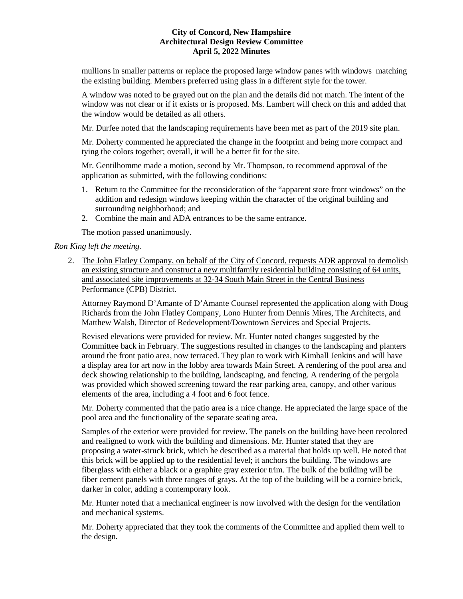mullions in smaller patterns or replace the proposed large window panes with windows matching the existing building. Members preferred using glass in a different style for the tower.

A window was noted to be grayed out on the plan and the details did not match. The intent of the window was not clear or if it exists or is proposed. Ms. Lambert will check on this and added that the window would be detailed as all others.

Mr. Durfee noted that the landscaping requirements have been met as part of the 2019 site plan.

Mr. Doherty commented he appreciated the change in the footprint and being more compact and tying the colors together; overall, it will be a better fit for the site.

Mr. Gentilhomme made a motion, second by Mr. Thompson, to recommend approval of the application as submitted, with the following conditions:

- 1. Return to the Committee for the reconsideration of the "apparent store front windows" on the addition and redesign windows keeping within the character of the original building and surrounding neighborhood; and
- 2. Combine the main and ADA entrances to be the same entrance.

The motion passed unanimously.

## *Ron King left the meeting.*

2. The John Flatley Company, on behalf of the City of Concord, requests ADR approval to demolish an existing structure and construct a new multifamily residential building consisting of 64 units, and associated site improvements at 32-34 South Main Street in the Central Business Performance (CPB) District.

Attorney Raymond D'Amante of D'Amante Counsel represented the application along with Doug Richards from the John Flatley Company, Lono Hunter from Dennis Mires, The Architects, and Matthew Walsh, Director of Redevelopment/Downtown Services and Special Projects.

Revised elevations were provided for review. Mr. Hunter noted changes suggested by the Committee back in February. The suggestions resulted in changes to the landscaping and planters around the front patio area, now terraced. They plan to work with Kimball Jenkins and will have a display area for art now in the lobby area towards Main Street. A rendering of the pool area and deck showing relationship to the building, landscaping, and fencing. A rendering of the pergola was provided which showed screening toward the rear parking area, canopy, and other various elements of the area, including a 4 foot and 6 foot fence.

Mr. Doherty commented that the patio area is a nice change. He appreciated the large space of the pool area and the functionality of the separate seating area.

Samples of the exterior were provided for review. The panels on the building have been recolored and realigned to work with the building and dimensions. Mr. Hunter stated that they are proposing a water-struck brick, which he described as a material that holds up well. He noted that this brick will be applied up to the residential level; it anchors the building. The windows are fiberglass with either a black or a graphite gray exterior trim. The bulk of the building will be fiber cement panels with three ranges of grays. At the top of the building will be a cornice brick, darker in color, adding a contemporary look.

Mr. Hunter noted that a mechanical engineer is now involved with the design for the ventilation and mechanical systems.

Mr. Doherty appreciated that they took the comments of the Committee and applied them well to the design.